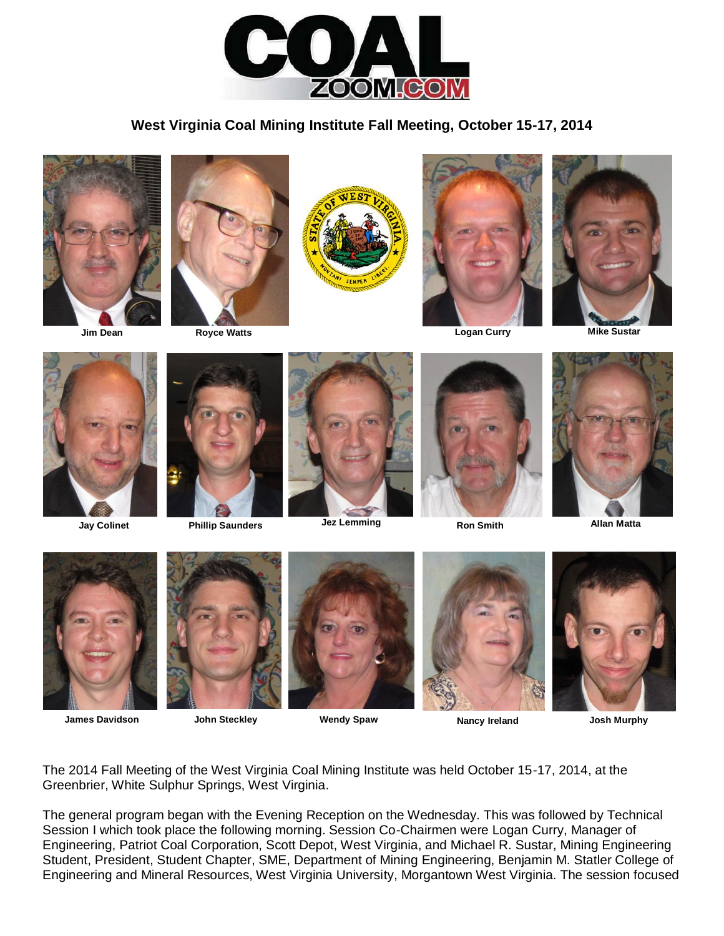

## **West Virginia Coal Mining Institute Fall Meeting, October 15-17, 2014**









**Jim Dean Royce Watts Logan Curry Mike Sustar**







**Jay Colinet Phillip Saunders Jez Lemming Ron Smith Allan Matta**









**James Davidson John Steckley Wendy Spaw Nancy Ireland Josh Murphy**









The 2014 Fall Meeting of the West Virginia Coal Mining Institute was held October 15-17, 2014, at the Greenbrier, White Sulphur Springs, West Virginia.

The general program began with the Evening Reception on the Wednesday. This was followed by Technical Session I which took place the following morning. Session Co-Chairmen were Logan Curry, Manager of Engineering, Patriot Coal Corporation, Scott Depot, West Virginia, and Michael R. Sustar, Mining Engineering Student, President, Student Chapter, SME, Department of Mining Engineering, Benjamin M. Statler College of Engineering and Mineral Resources, West Virginia University, Morgantown West Virginia. The session focused